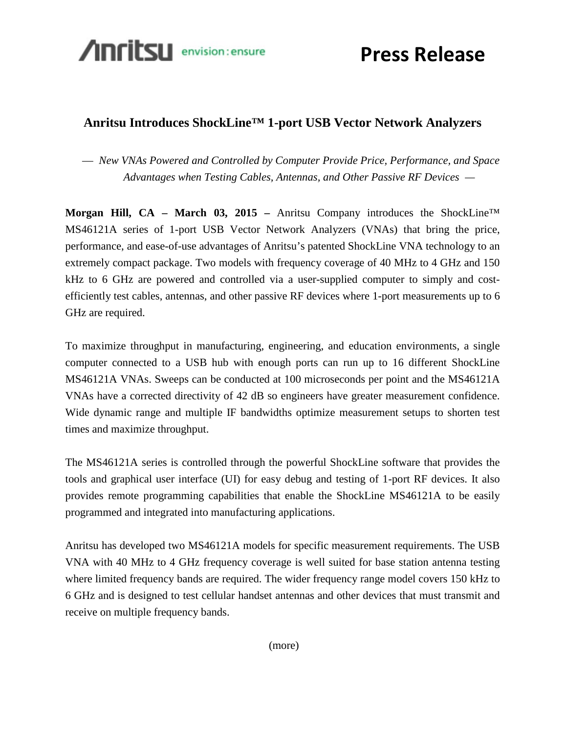

**Press Release**

## **Anritsu Introduces ShockLine™ 1-port USB Vector Network Analyzers**

— *New VNAs Powered and Controlled by Computer Provide Price, Performance, and Space Advantages when Testing Cables, Antennas, and Other Passive RF Devices —*

**Morgan Hill, CA – March 03, 2015 –** Anritsu Company introduces the ShockLine™ MS46121A series of 1-port USB Vector Network Analyzers (VNAs) that bring the price, performance, and ease-of-use advantages of Anritsu's patented ShockLine VNA technology to an extremely compact package. Two models with frequency coverage of 40 MHz to 4 GHz and 150 kHz to 6 GHz are powered and controlled via a user-supplied computer to simply and costefficiently test cables, antennas, and other passive RF devices where 1-port measurements up to 6 GHz are required.

To maximize throughput in manufacturing, engineering, and education environments, a single computer connected to a USB hub with enough ports can run up to 16 different ShockLine MS46121A VNAs. Sweeps can be conducted at 100 microseconds per point and the MS46121A VNAs have a corrected directivity of 42 dB so engineers have greater measurement confidence. Wide dynamic range and multiple IF bandwidths optimize measurement setups to shorten test times and maximize throughput.

The MS46121A series is controlled through the powerful ShockLine software that provides the tools and graphical user interface (UI) for easy debug and testing of 1-port RF devices. It also provides remote programming capabilities that enable the ShockLine MS46121A to be easily programmed and integrated into manufacturing applications.

Anritsu has developed two MS46121A models for specific measurement requirements. The USB VNA with 40 MHz to 4 GHz frequency coverage is well suited for base station antenna testing where limited frequency bands are required. The wider frequency range model covers 150 kHz to 6 GHz and is designed to test cellular handset antennas and other devices that must transmit and receive on multiple frequency bands.

(more)